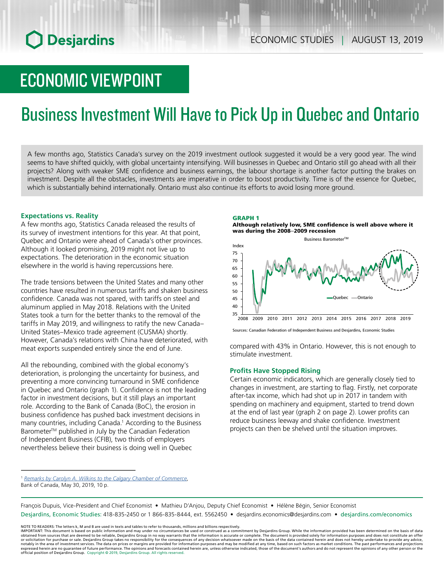# **O** Desjardins

# ECONOMIC VIEWPOINT

# Business Investment Will Have to Pick Up in Quebec and Ontario

A few months ago, Statistics Canada's survey on the 2019 investment outlook suggested it would be a very good year. The wind seems to have shifted quickly, with global uncertainty intensifying. Will businesses in Quebec and Ontario still go ahead with all their projects? Along with weaker SME confidence and business earnings, the labour shortage is another factor putting the brakes on investment. Despite all the obstacles, investments are imperative in order to boost productivity. Time is of the essence for Quebec, which is substantially behind internationally. Ontario must also continue its efforts to avoid losing more ground.

## **Expectations vs. Reality**

A few months ago, Statistics Canada released the results of its survey of investment intentions for this year. At that point, Quebec and Ontario were ahead of Canada's other provinces. Although it looked promising, 2019 might not live up to expectations. The deterioration in the economic situation elsewhere in the world is having repercussions here.

The trade tensions between the United States and many other countries have resulted in numerous tariffs and shaken business confidence. Canada was not spared, with tariffs on steel and aluminum applied in May 2018. Relations with the United States took a turn for the better thanks to the removal of the tariffs in May 2019, and willingness to ratify the new Canada– United States–Mexico trade agreement (CUSMA) shortly. However, Canada's relations with China have deteriorated, with meat exports suspended entirely since the end of June.

All the rebounding, combined with the global economy's deterioration, is prolonging the uncertainty for business, and preventing a more convincing turnaround in SME confidence in Quebec and Ontario (graph 1). Confidence is not the leading factor in investment decisions, but it still plays an important role. According to the Bank of Canada (BoC), the erosion in business confidence has pushed back investment decisions in many countries, including Canada.1 According to the Business Barometer™ published in July by the Canadian Federation of Independent Business (CFIB), two thirds of employers nevertheless believe their business is doing well in Quebec

## GRAPH 1

Although relatively low, SME confidence is well above where it was during the 2008–2009 recession



Sources: Canadian Federation of Independent Business and Desjardins, Economic Studies

compared with 43% in Ontario. However, this is not enough to stimulate investment.

## **Profits Have Stopped Rising**

Certain economic indicators, which are generally closely tied to changes in investment, are starting to flag. Firstly, net corporate after-tax income, which had shot up in 2017 in tandem with spending on machinery and equipment, started to trend down at the end of last year (graph 2 on page 2). Lower profits can reduce business leeway and shake confidence. Investment projects can then be shelved until the situation improves.

François Dupuis, Vice-President and Chief Economist • Mathieu D'Anjou, Deputy Chief Economist • Hélène Bégin, Senior Economist Desjardins, Economic Studies: 418-835-2450 or 1 866-835-8444, ext. 5562450 • desjardins.economics@desjardins.com • desjardins.com/economics

NOTE TO READERS: The letters k, M and B are used in texts and tables to refer to thousands, millions and billions respectively.<br>IMPORTANT: This document is based on public information and may under no circumstances be used obtained from sources that are deemed to be reliable, Desjardins Group in no way warrants that the information is accurate or complete. The document is provided solely for information purposes and does not constitute an of expressed herein are no guarantee of future performance. The opinions and forecasts contained herein are, unless otherwise indicated, those of the document's authors and do not represent the opinions of any other person or official position of Desjardins Group. Copyright © 2019, Desjardins Group. All rights reserved.

<sup>1</sup> *[Remarks by Carolyn A. Wilkins to the Calgary Chamber of Commerce](https://www.bankofcanada.ca/2019/05/economic-progress-report-investing-in-growth/)*, Bank of Canada, May 30, 2019, 10 p.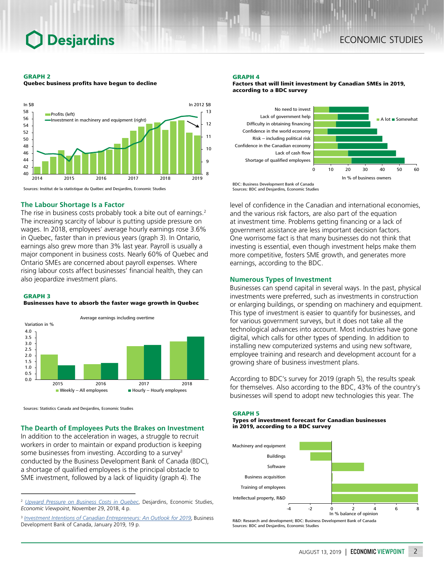# **Desjardins**

#### GRAPH 2

Quebec business profits have begun to decline



Sources: Institut de la statistique du Québec and Desjardins, Economic Studies

### **The Labour Shortage Is a Factor**

The rise in business costs probably took a bite out of earnings.<sup>2</sup> The increasing scarcity of labour is putting upside pressure on wages. In 2018, employees' average hourly earnings rose 3.6% in Quebec, faster than in previous years (graph 3). In Ontario, earnings also grew more than 3% last year. Payroll is usually a major component in business costs. Nearly 60% of Quebec and Ontario SMEs are concerned about payroll expenses. Where rising labour costs affect businesses' financial health, they can also jeopardize investment plans.

#### GRAPH 3

#### Businesses have to absorb the faster wage growth in Quebec



Sources: Statistics Canada and Desjardins, Economic Studies

## **The Dearth of Employees Puts the Brakes on Investment**

In addition to the acceleration in wages, a struggle to recruit workers in order to maintain or expand production is keeping some businesses from investing. According to a survey<sup>3</sup> conducted by the Business Development Bank of Canada (BDC), a shortage of qualified employees is the principal obstacle to SME investment, followed by a lack of liquidity (graph 4). The

#### GRAPH 4





BDC: Business Development Bank of Canada Sources: BDC and Desjardins, Economic Studies

level of confidence in the Canadian and international economies, and the various risk factors, are also part of the equation at investment time. Problems getting financing or a lack of government assistance are less important decision factors. One worrisome fact is that many businesses do not think that investing is essential, even though investment helps make them more competitive, fosters SME growth, and generates more earnings, according to the BDC.

### **Numerous Types of Investment**

Businesses can spend capital in several ways. In the past, physical investments were preferred, such as investments in construction or enlarging buildings, or spending on machinery and equipment. This type of investment is easier to quantify for businesses, and for various government surveys, but it does not take all the technological advances into account. Most industries have gone digital, which calls for other types of spending. In addition to installing new computerized systems and using new software, employee training and research and development account for a growing share of business investment plans.

According to BDC's survey for 2019 (graph 5), the results speak for themselves. Also according to the BDC, 43% of the country's businesses will spend to adopt new technologies this year. The

#### GRAPH 5

Types of investment forecast for Canadian businesses in 2019, according to a BDC survey



R&D: Research and development; BDC: Business Development Bank of Canada Sources: BDC and Desjardins, Economic Studies

<sup>2</sup> *[Upward Pressure on Business Costs in Quebec](https://www.desjardins.com/ressources/pdf/pv112918e.pdf?resVer=1543515791000)*, Desjardins, Economic Studies, *Economic Viewpoint*, November 29, 2018, 4 p.

<sup>&</sup>lt;sup>3</sup> [Investment Intentions of Canadian Entrepreneurs: An Outlook for 2019](https://www.bdc.ca/en/about/sme_research/pages/investment-intentions-canadian-entrepreneurs-outlook-2019.aspx), Business Development Bank of Canada, January 2019, 19 p.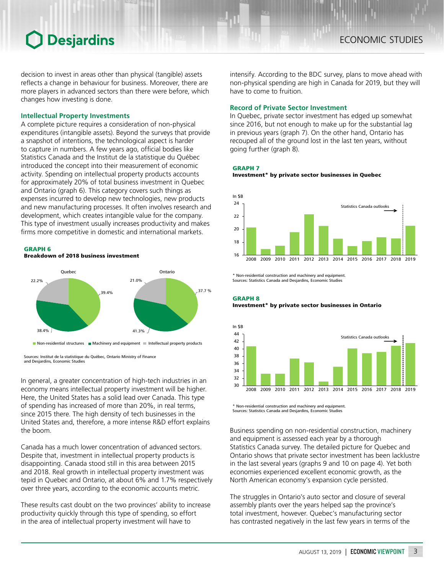# **Desjardins**

decision to invest in areas other than physical (tangible) assets reflects a change in behaviour for business. Moreover, there are more players in advanced sectors than there were before, which changes how investing is done.

## **Intellectual Property Investments**

A complete picture requires a consideration of non-physical expenditures (intangible assets). Beyond the surveys that provide a snapshot of intentions, the technological aspect is harder to capture in numbers. A few years ago, official bodies like Statistics Canada and the Institut de la statistique du Québec introduced the concept into their measurement of economic activity. Spending on intellectual property products accounts for approximately 20% of total business investment in Quebec and Ontario (graph 6). This category covers such things as expenses incurred to develop new technologies, new products and new manufacturing processes. It often involves research and development, which creates intangible value for the company. This type of investment usually increases productivity and makes firms more competitive in domestic and international markets.

### GRAPH 6

Breakdown of 2018 business investment



Sources: Institut de la statistique du Québec, Ontario Ministry of Finance and Desjardins, Economic Studies

In general, a greater concentration of high-tech industries in an economy means intellectual property investment will be higher. Here, the United States has a solid lead over Canada. This type of spending has increased of more than 20%, in real terms, since 2015 there. The high density of tech businesses in the United States and, therefore, a more intense R&D effort explains the boom.

Canada has a much lower concentration of advanced sectors. Despite that, investment in intellectual property products is disappointing. Canada stood still in this area between 2015 and 2018. Real growth in intellectual property investment was tepid in Quebec and Ontario, at about 6% and 1.7% respectively over three years, according to the economic accounts metric.

These results cast doubt on the two provinces' ability to increase productivity quickly through this type of spending, so effort in the area of intellectual property investment will have to

intensify. According to the BDC survey, plans to move ahead with non-physical spending are high in Canada for 2019, but they will have to come to fruition.

## **Record of Private Sector Investment**

In Quebec, private sector investment has edged up somewhat since 2016, but not enough to make up for the substantial lag in previous years (graph 7). On the other hand, Ontario has recouped all of the ground lost in the last ten years, without going further (graph 8).

#### GRAPH 7

Investment\* by private sector businesses in Quebec



\* Non-residential construction and machinery and equipment. Sources: Statistics Canada and Desjardins, Economic Studies

GRAPH 8 Investment\* by private sector businesses in Ontario



Non-residential construction and machinery and equipment. Sources: Statistics Canada and Desjardins, Economic Studies

Business spending on non-residential construction, machinery and equipment is assessed each year by a thorough Statistics Canada survey. The detailed picture for Quebec and Ontario shows that private sector investment has been lacklustre in the last several years (graphs 9 and 10 on page 4). Yet both economies experienced excellent economic growth, as the North American economy's expansion cycle persisted.

The struggles in Ontario's auto sector and closure of several assembly plants over the years helped sap the province's total investment, however. Quebec's manufacturing sector has contrasted negatively in the last few years in terms of the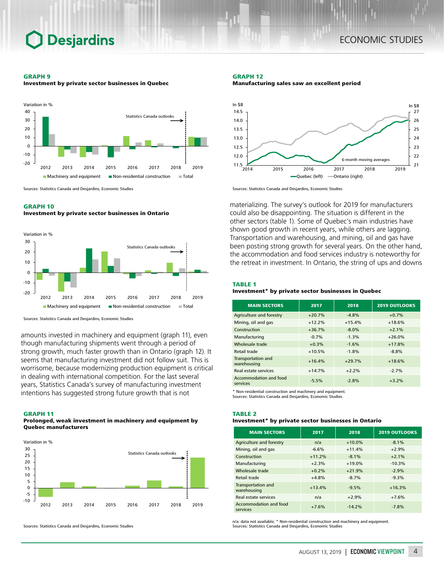# **Desjardins**

#### GRAPH 9





Sources: Statistics Canada and Desjardins, Economic Studies

### GRAPH 10

Investment by private sector businesses in Ontario



Sources: Statistics Canada and Desjardins, Economic Studies

amounts invested in machinery and equipment (graph 11), even though manufacturing shipments went through a period of strong growth, much faster growth than in Ontario (graph 12). It seems that manufacturing investment did not follow suit. This is worrisome, because modernizing production equipment is critical in dealing with international competition. For the last several years, Statistics Canada's survey of manufacturing investment intentions has suggested strong future growth that is not

#### GRAPH 11

#### Prolonged, weak investment in machinery and equipment by Quebec manufacturers



Sources: Statistics Canada and Desjardins, Economic Studies

GRAPH 12 Manufacturing sales saw an excellent period



Sources: Statistics Canada and Desjardins, Economic Studies

materializing. The survey's outlook for 2019 for manufacturers could also be disappointing. The situation is different in the other sectors (table 1). Some of Quebec's main industries have shown good growth in recent years, while others are lagging. Transportation and warehousing, and mining, oil and gas have been posting strong growth for several years. On the other hand, the accommodation and food services industry is noteworthy for the retreat in investment. In Ontario, the string of ups and downs

### TABLE 1

### Investment\* by private sector businesses in Quebec

| <b>MAIN SECTORS</b>                      | 2017     | 2018     | <b>2019 OUTLOOKS</b> |
|------------------------------------------|----------|----------|----------------------|
| Agriculture and forestry                 | $+20.7%$ | $-4.8%$  | $+0.7%$              |
| Mining, oil and gas                      | $+12.2%$ | $+15.4%$ | $+18.6%$             |
| Construction                             | $+36.7%$ | $-8.0%$  | $+2.1%$              |
| Manufacturing                            | $-0.7%$  | $-1.3%$  | $+26.0%$             |
| Wholesale trade                          | $+0.3%$  | $-1.6%$  | $+17.8%$             |
| <b>Retail trade</b>                      | $+10.5%$ | $-1.8%$  | $-8.8%$              |
| <b>Transportation and</b><br>warehousing | $+16.4%$ | $+29.7%$ | $+18.6%$             |
| Real estate services                     | $+14.7%$ | $+2.2%$  | $-2.7%$              |
| Accommodation and food<br>services       | $-5.5%$  | $-2.8%$  | $+3.2%$              |

\* Non-residential construction and machinery and equipment.

Sources: Statistics Canada and Desjardins, Economic Studies

### TABLE 2

## Investment\* by private sector businesses in Ontario

| <b>MAIN SECTORS</b>                | 2017     | 2018     | <b>2019 OUTLOOKS</b> |
|------------------------------------|----------|----------|----------------------|
| Agriculture and forestry           | n/a      | $+10.0%$ | $-8.1%$              |
| Mining, oil and gas                | $-6.6%$  | $+11.4%$ | $+2.9%$              |
| Construction                       | $+11.2%$ | $-8.1%$  | $+2.1%$              |
| Manufacturing                      | $+2.3%$  | $+19.0%$ | $-10.3%$             |
| Wholesale trade                    | $+0.2%$  | $+21.9%$ | $-2.9%$              |
| Retail trade                       | $+4.8%$  | $-8.7%$  | $-9.3%$              |
| Transportation and<br>warehousing  | $+13.4%$ | $-9.5%$  | $+16.3%$             |
| Real estate services               | n/a      | $+2.9%$  | $+7.6%$              |
| Accommodation and food<br>services | $+7.6%$  | $-14.2%$ | $-7.8%$              |

n/a: data not available; \* Non-residential construction and machinery and equipment. Sources: Statistics Canada and Desjardins, Economic Studies